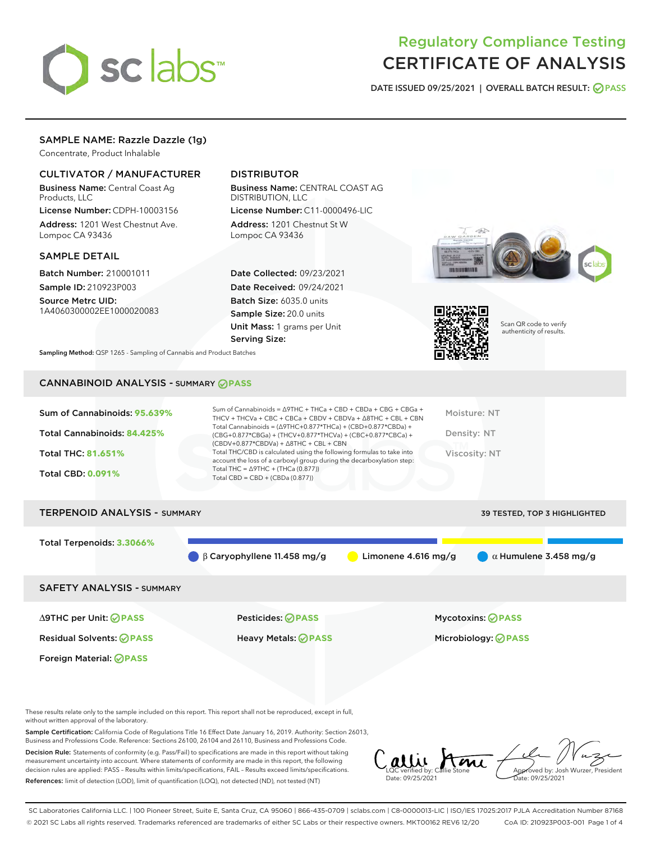

# Regulatory Compliance Testing CERTIFICATE OF ANALYSIS

DATE ISSUED 09/25/2021 | OVERALL BATCH RESULT: @ PASS

### SAMPLE NAME: Razzle Dazzle (1g)

Concentrate, Product Inhalable

#### CULTIVATOR / MANUFACTURER

Business Name: Central Coast Ag Products, LLC

License Number: CDPH-10003156 Address: 1201 West Chestnut Ave. Lompoc CA 93436

#### SAMPLE DETAIL

Batch Number: 210001011 Sample ID: 210923P003

Source Metrc UID: 1A4060300002EE1000020083

# DISTRIBUTOR

Business Name: CENTRAL COAST AG DISTRIBUTION, LLC License Number: C11-0000496-LIC

Address: 1201 Chestnut St W Lompoc CA 93436

Date Collected: 09/23/2021 Date Received: 09/24/2021 Batch Size: 6035.0 units Sample Size: 20.0 units Unit Mass: 1 grams per Unit Serving Size:





Scan QR code to verify authenticity of results.

Sampling Method: QSP 1265 - Sampling of Cannabis and Product Batches

# CANNABINOID ANALYSIS - SUMMARY **PASS**



| <b>TERPENOID ANALYSIS - SUMMARY</b> |                                              |                       | 39 TESTED, TOP 3 HIGHLIGHTED |
|-------------------------------------|----------------------------------------------|-----------------------|------------------------------|
| Total Terpenoids: 3.3066%           |                                              |                       |                              |
|                                     | $\bigcirc$ $\beta$ Caryophyllene 11.458 mg/g | Limonene $4.616$ mg/g | $\alpha$ Humulene 3.458 mg/g |
| <b>SAFETY ANALYSIS - SUMMARY</b>    |                                              |                       |                              |
|                                     |                                              |                       |                              |

∆9THC per Unit: **PASS** Pesticides: **PASS** Mycotoxins: **PASS**

Foreign Material: **PASS**

Residual Solvents: **PASS** Heavy Metals: **PASS** Microbiology: **PASS**

These results relate only to the sample included on this report. This report shall not be reproduced, except in full, without written approval of the laboratory.

Sample Certification: California Code of Regulations Title 16 Effect Date January 16, 2019. Authority: Section 26013, Business and Professions Code. Reference: Sections 26100, 26104 and 26110, Business and Professions Code.

Decision Rule: Statements of conformity (e.g. Pass/Fail) to specifications are made in this report without taking measurement uncertainty into account. Where statements of conformity are made in this report, the following decision rules are applied: PASS – Results within limits/specifications, FAIL – Results exceed limits/specifications. References: limit of detection (LOD), limit of quantification (LOQ), not detected (ND), not tested (NT)

Callie Ame Date: 09/25/2021 Approved by: Josh Wurzer, President Date: 09/25/2021

SC Laboratories California LLC. | 100 Pioneer Street, Suite E, Santa Cruz, CA 95060 | 866-435-0709 | sclabs.com | C8-0000013-LIC | ISO/IES 17025:2017 PJLA Accreditation Number 87168 © 2021 SC Labs all rights reserved. Trademarks referenced are trademarks of either SC Labs or their respective owners. MKT00162 REV6 12/20 CoA ID: 210923P003-001 Page 1 of 4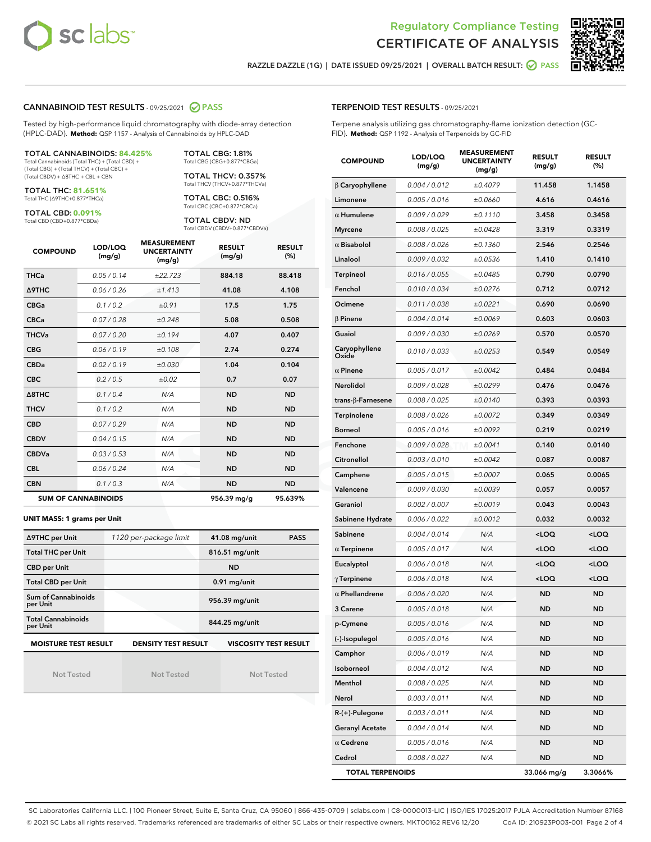



RAZZLE DAZZLE (1G) | DATE ISSUED 09/25/2021 | OVERALL BATCH RESULT: @ PASS

#### CANNABINOID TEST RESULTS - 09/25/2021 2 PASS

Tested by high-performance liquid chromatography with diode-array detection (HPLC-DAD). **Method:** QSP 1157 - Analysis of Cannabinoids by HPLC-DAD

#### TOTAL CANNABINOIDS: **84.425%**

Total Cannabinoids (Total THC) + (Total CBD) + (Total CBG) + (Total THCV) + (Total CBC) + (Total CBDV) + ∆8THC + CBL + CBN

TOTAL THC: **81.651%** Total THC (∆9THC+0.877\*THCa)

TOTAL CBD: **0.091%**

Total CBD (CBD+0.877\*CBDa)

TOTAL CBG: 1.81% Total CBG (CBG+0.877\*CBGa)

TOTAL THCV: 0.357% Total THCV (THCV+0.877\*THCVa)

TOTAL CBC: 0.516% Total CBC (CBC+0.877\*CBCa)

TOTAL CBDV: ND Total CBDV (CBDV+0.877\*CBDVa)

| <b>COMPOUND</b>  | LOD/LOQ<br>(mg/g)          | <b>MEASUREMENT</b><br><b>UNCERTAINTY</b><br>(mg/g) | <b>RESULT</b><br>(mg/g) | <b>RESULT</b><br>(%) |
|------------------|----------------------------|----------------------------------------------------|-------------------------|----------------------|
| <b>THCa</b>      | 0.05/0.14                  | ±22.723                                            | 884.18                  | 88.418               |
| <b>A9THC</b>     | 0.06 / 0.26                | ±1.413                                             | 41.08                   | 4.108                |
| <b>CBGa</b>      | 0.1/0.2                    | ±0.91                                              | 17.5                    | 1.75                 |
| <b>CBCa</b>      | 0.07/0.28                  | ±0.248                                             | 5.08                    | 0.508                |
| <b>THCVa</b>     | 0.07/0.20                  | ±0.194                                             | 4.07                    | 0.407                |
| <b>CBG</b>       | 0.06/0.19                  | ±0.108                                             | 2.74                    | 0.274                |
| <b>CBDa</b>      | 0.02/0.19                  | ±0.030                                             | 1.04                    | 0.104                |
| <b>CBC</b>       | 0.2 / 0.5                  | ±0.02                                              | 0.7                     | 0.07                 |
| $\triangle$ 8THC | 0.1/0.4                    | N/A                                                | <b>ND</b>               | <b>ND</b>            |
| <b>THCV</b>      | 0.1/0.2                    | N/A                                                | <b>ND</b>               | <b>ND</b>            |
| <b>CBD</b>       | 0.07/0.29                  | N/A                                                | <b>ND</b>               | <b>ND</b>            |
| <b>CBDV</b>      | 0.04 / 0.15                | N/A                                                | <b>ND</b>               | <b>ND</b>            |
| <b>CBDVa</b>     | 0.03/0.53                  | N/A                                                | <b>ND</b>               | <b>ND</b>            |
| <b>CBL</b>       | 0.06 / 0.24                | N/A                                                | <b>ND</b>               | <b>ND</b>            |
| <b>CBN</b>       | 0.1/0.3                    | N/A                                                | <b>ND</b>               | <b>ND</b>            |
|                  | <b>SUM OF CANNABINOIDS</b> |                                                    | 956.39 mg/g             | 95.639%              |

#### **UNIT MASS: 1 grams per Unit**

| ∆9THC per Unit                        | 1120 per-package limit     | $41.08$ mg/unit<br><b>PASS</b> |  |  |
|---------------------------------------|----------------------------|--------------------------------|--|--|
| <b>Total THC per Unit</b>             |                            | 816.51 mg/unit                 |  |  |
| <b>CBD per Unit</b>                   |                            | <b>ND</b>                      |  |  |
| <b>Total CBD per Unit</b>             |                            | $0.91$ mg/unit                 |  |  |
| Sum of Cannabinoids<br>per Unit       |                            | 956.39 mg/unit                 |  |  |
| <b>Total Cannabinoids</b><br>per Unit |                            | 844.25 mg/unit                 |  |  |
| <b>MOISTURE TEST RESULT</b>           | <b>DENSITY TEST RESULT</b> | <b>VISCOSITY TEST RESULT</b>   |  |  |

Not Tested

Not Tested

Not Tested

#### TERPENOID TEST RESULTS - 09/25/2021

Terpene analysis utilizing gas chromatography-flame ionization detection (GC-FID). **Method:** QSP 1192 - Analysis of Terpenoids by GC-FID

| <b>COMPOUND</b>           | LOD/LOQ<br>(mg/g) | <b>MEASUREMENT</b><br><b>UNCERTAINTY</b><br>(mg/g) | <b>RESULT</b><br>(mg/g)                         | <b>RESULT</b><br>(%) |
|---------------------------|-------------------|----------------------------------------------------|-------------------------------------------------|----------------------|
| $\beta$ Caryophyllene     | 0.004 / 0.012     | ±0.4079                                            | 11.458                                          | 1.1458               |
| Limonene                  | 0.005 / 0.016     | ±0.0660                                            | 4.616                                           | 0.4616               |
| $\alpha$ Humulene         | 0.009 / 0.029     | ±0.1110                                            | 3.458                                           | 0.3458               |
| <b>Myrcene</b>            | 0.008 / 0.025     | ±0.0428                                            | 3.319                                           | 0.3319               |
| $\alpha$ Bisabolol        | 0.008 / 0.026     | ±0.1360                                            | 2.546                                           | 0.2546               |
| Linalool                  | 0.009 / 0.032     | ±0.0536                                            | 1.410                                           | 0.1410               |
| <b>Terpineol</b>          | 0.016 / 0.055     | ±0.0485                                            | 0.790                                           | 0.0790               |
| Fenchol                   | 0.010 / 0.034     | ±0.0276                                            | 0.712                                           | 0.0712               |
| Ocimene                   | 0.011 / 0.038     | ±0.0221                                            | 0.690                                           | 0.0690               |
| $\beta$ Pinene            | 0.004 / 0.014     | ±0.0069                                            | 0.603                                           | 0.0603               |
| Guaiol                    | 0.009 / 0.030     | ±0.0269                                            | 0.570                                           | 0.0570               |
| Caryophyllene<br>Oxide    | 0.010 / 0.033     | ±0.0253                                            | 0.549                                           | 0.0549               |
| $\alpha$ Pinene           | 0.005 / 0.017     | ±0.0042                                            | 0.484                                           | 0.0484               |
| Nerolidol                 | 0.009 / 0.028     | ±0.0299                                            | 0.476                                           | 0.0476               |
| trans- $\beta$ -Farnesene | 0.008 / 0.025     | ±0.0140                                            | 0.393                                           | 0.0393               |
| Terpinolene               | 0.008 / 0.026     | ±0.0072                                            | 0.349                                           | 0.0349               |
| Borneol                   | 0.005 / 0.016     | ±0.0092                                            | 0.219                                           | 0.0219               |
| Fenchone                  | 0.009 / 0.028     | ±0.0041                                            | 0.140                                           | 0.0140               |
| Citronellol               | 0.003 / 0.010     | ±0.0042                                            | 0.087                                           | 0.0087               |
| Camphene                  | 0.005 / 0.015     | ±0.0007                                            | 0.065                                           | 0.0065               |
| Valencene                 | 0.009 / 0.030     | ±0.0039                                            | 0.057                                           | 0.0057               |
| Geraniol                  | 0.002 / 0.007     | ±0.0019                                            | 0.043                                           | 0.0043               |
| Sabinene Hydrate          | 0.006 / 0.022     | ±0.0012                                            | 0.032                                           | 0.0032               |
| Sabinene                  | 0.004 / 0.014     | N/A                                                | <loq< th=""><th><loq< th=""></loq<></th></loq<> | <loq< th=""></loq<>  |
| $\alpha$ Terpinene        | 0.005 / 0.017     | N/A                                                | <loq< th=""><th><loq< th=""></loq<></th></loq<> | <loq< th=""></loq<>  |
| Eucalyptol                | 0.006 / 0.018     | N/A                                                | <loq< th=""><th><loq< th=""></loq<></th></loq<> | <loq< th=""></loq<>  |
| $\gamma$ Terpinene        | 0.006 / 0.018     | N/A                                                | <loq< th=""><th><loq< th=""></loq<></th></loq<> | <loq< th=""></loq<>  |
| $\alpha$ Phellandrene     | 0.006 / 0.020     | N/A                                                | ND                                              | <b>ND</b>            |
| 3 Carene                  | 0.005 / 0.018     | N/A                                                | ND                                              | <b>ND</b>            |
| p-Cymene                  | 0.005 / 0.016     | N/A                                                | <b>ND</b>                                       | <b>ND</b>            |
| (-)-Isopulegol            | 0.005 / 0.016     | N/A                                                | ND                                              | <b>ND</b>            |
| Camphor                   | 0.006 / 0.019     | N/A                                                | ND                                              | ND                   |
| Isoborneol                | 0.004 / 0.012     | N/A                                                | ND                                              | <b>ND</b>            |
| Menthol                   | 0.008 / 0.025     | N/A                                                | ND                                              | <b>ND</b>            |
| Nerol                     | 0.003 / 0.011     | N/A                                                | ND                                              | ND                   |
| R-(+)-Pulegone            | 0.003 / 0.011     | N/A                                                | ND                                              | ND                   |
| <b>Geranyl Acetate</b>    | 0.004 / 0.014     | N/A                                                | ND                                              | <b>ND</b>            |
| $\alpha$ Cedrene          | 0.005 / 0.016     | N/A                                                | ND                                              | ND                   |
| Cedrol                    | 0.008 / 0.027     | N/A                                                | ND                                              | <b>ND</b>            |
| <b>TOTAL TERPENOIDS</b>   |                   |                                                    | 33.066 mg/g                                     | 3.3066%              |

SC Laboratories California LLC. | 100 Pioneer Street, Suite E, Santa Cruz, CA 95060 | 866-435-0709 | sclabs.com | C8-0000013-LIC | ISO/IES 17025:2017 PJLA Accreditation Number 87168 © 2021 SC Labs all rights reserved. Trademarks referenced are trademarks of either SC Labs or their respective owners. MKT00162 REV6 12/20 CoA ID: 210923P003-001 Page 2 of 4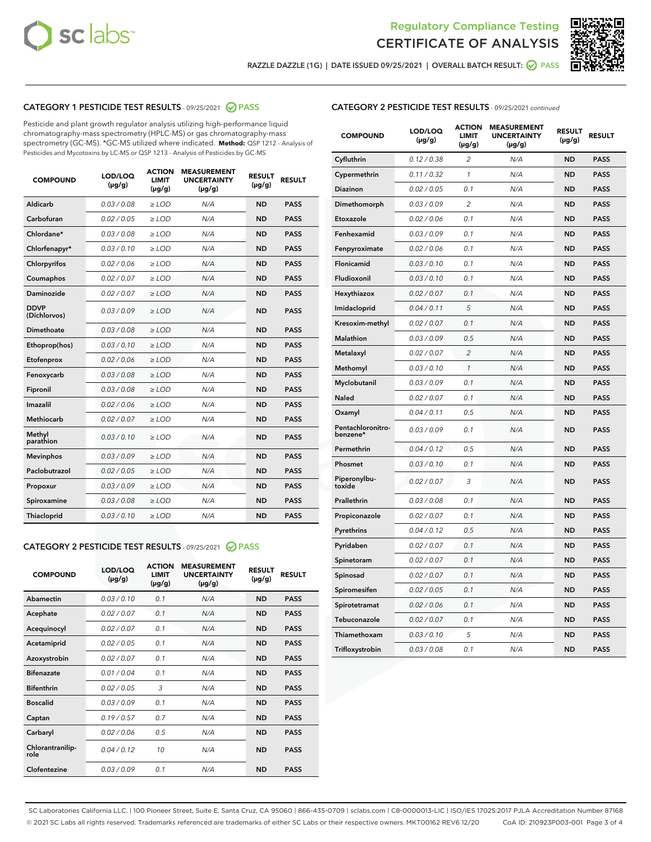



RAZZLE DAZZLE (1G) | DATE ISSUED 09/25/2021 | OVERALL BATCH RESULT: @ PASS

# CATEGORY 1 PESTICIDE TEST RESULTS - 09/25/2021 2 PASS

Pesticide and plant growth regulator analysis utilizing high-performance liquid chromatography-mass spectrometry (HPLC-MS) or gas chromatography-mass spectrometry (GC-MS). \*GC-MS utilized where indicated. **Method:** QSP 1212 - Analysis of Pesticides and Mycotoxins by LC-MS or QSP 1213 - Analysis of Pesticides by GC-MS

| Aldicarb<br>0.03 / 0.08<br>$\ge$ LOD<br>N/A<br><b>ND</b><br><b>PASS</b><br>Carbofuran<br>0.02 / 0.05<br><b>ND</b><br><b>PASS</b><br>$\geq$ LOD<br>N/A<br>Chlordane*<br>0.03 / 0.08<br>$\geq$ LOD<br>N/A<br><b>ND</b><br><b>PASS</b><br>Chlorfenapyr*<br>0.03/0.10<br>N/A<br><b>ND</b><br><b>PASS</b><br>$\geq$ LOD<br>N/A<br><b>ND</b><br><b>PASS</b><br>Chlorpyrifos<br>0.02 / 0.06<br>$\ge$ LOD<br>0.02 / 0.07<br>Coumaphos<br>$>$ LOD<br>N/A<br><b>ND</b><br><b>PASS</b><br>Daminozide<br>0.02/0.07<br>N/A<br><b>ND</b><br>$>$ LOD<br><b>PASS</b><br><b>DDVP</b><br>0.03/0.09<br>$\ge$ LOD<br>N/A<br><b>ND</b><br><b>PASS</b><br>(Dichlorvos)<br>Dimethoate<br>0.03 / 0.08<br>$\ge$ LOD<br>N/A<br><b>ND</b><br><b>PASS</b><br>0.03/0.10<br><b>ND</b><br><b>PASS</b><br>$\ge$ LOD<br>N/A<br>Ethoprop(hos)<br>0.02 / 0.06<br>$\ge$ LOD<br>N/A<br><b>ND</b><br><b>PASS</b><br>Etofenprox<br>0.03 / 0.08<br>$\ge$ LOD<br>N/A<br><b>ND</b><br><b>PASS</b><br>Fenoxycarb<br>0.03 / 0.08<br>Fipronil<br>$\ge$ LOD<br>N/A<br><b>ND</b><br><b>PASS</b><br>Imazalil<br>0.02 / 0.06<br>$\ge$ LOD<br>N/A<br><b>ND</b><br><b>PASS</b><br>Methiocarb<br>0.02 / 0.07<br>N/A<br><b>ND</b><br>$>$ LOD<br><b>PASS</b><br>Methyl<br>N/A<br><b>ND</b><br>0.03/0.10<br>$\ge$ LOD<br><b>PASS</b><br>parathion<br>0.03/0.09<br>N/A<br><b>ND</b><br><b>PASS</b><br><b>Mevinphos</b><br>$\ge$ LOD<br>Paclobutrazol<br>0.02 / 0.05<br><b>ND</b><br><b>PASS</b><br>$\ge$ LOD<br>N/A<br>0.03/0.09<br>$\ge$ LOD<br>N/A<br><b>ND</b><br><b>PASS</b><br>Propoxur<br>0.03 / 0.08<br>$\ge$ LOD<br>N/A<br><b>ND</b><br><b>PASS</b><br>Spiroxamine<br>0.03/0.10<br>Thiacloprid<br>$\ge$ LOD<br>N/A<br><b>ND</b><br><b>PASS</b> | <b>COMPOUND</b> | LOD/LOQ<br>$(\mu g/g)$ | <b>ACTION</b><br><b>LIMIT</b><br>$(\mu g/g)$ | <b>MEASUREMENT</b><br><b>UNCERTAINTY</b><br>$(\mu g/g)$ | <b>RESULT</b><br>$(\mu g/g)$ | <b>RESULT</b> |
|------------------------------------------------------------------------------------------------------------------------------------------------------------------------------------------------------------------------------------------------------------------------------------------------------------------------------------------------------------------------------------------------------------------------------------------------------------------------------------------------------------------------------------------------------------------------------------------------------------------------------------------------------------------------------------------------------------------------------------------------------------------------------------------------------------------------------------------------------------------------------------------------------------------------------------------------------------------------------------------------------------------------------------------------------------------------------------------------------------------------------------------------------------------------------------------------------------------------------------------------------------------------------------------------------------------------------------------------------------------------------------------------------------------------------------------------------------------------------------------------------------------------------------------------------------------------------------------------------------------------------------------------------------------------------------------------|-----------------|------------------------|----------------------------------------------|---------------------------------------------------------|------------------------------|---------------|
|                                                                                                                                                                                                                                                                                                                                                                                                                                                                                                                                                                                                                                                                                                                                                                                                                                                                                                                                                                                                                                                                                                                                                                                                                                                                                                                                                                                                                                                                                                                                                                                                                                                                                                |                 |                        |                                              |                                                         |                              |               |
|                                                                                                                                                                                                                                                                                                                                                                                                                                                                                                                                                                                                                                                                                                                                                                                                                                                                                                                                                                                                                                                                                                                                                                                                                                                                                                                                                                                                                                                                                                                                                                                                                                                                                                |                 |                        |                                              |                                                         |                              |               |
|                                                                                                                                                                                                                                                                                                                                                                                                                                                                                                                                                                                                                                                                                                                                                                                                                                                                                                                                                                                                                                                                                                                                                                                                                                                                                                                                                                                                                                                                                                                                                                                                                                                                                                |                 |                        |                                              |                                                         |                              |               |
|                                                                                                                                                                                                                                                                                                                                                                                                                                                                                                                                                                                                                                                                                                                                                                                                                                                                                                                                                                                                                                                                                                                                                                                                                                                                                                                                                                                                                                                                                                                                                                                                                                                                                                |                 |                        |                                              |                                                         |                              |               |
|                                                                                                                                                                                                                                                                                                                                                                                                                                                                                                                                                                                                                                                                                                                                                                                                                                                                                                                                                                                                                                                                                                                                                                                                                                                                                                                                                                                                                                                                                                                                                                                                                                                                                                |                 |                        |                                              |                                                         |                              |               |
|                                                                                                                                                                                                                                                                                                                                                                                                                                                                                                                                                                                                                                                                                                                                                                                                                                                                                                                                                                                                                                                                                                                                                                                                                                                                                                                                                                                                                                                                                                                                                                                                                                                                                                |                 |                        |                                              |                                                         |                              |               |
|                                                                                                                                                                                                                                                                                                                                                                                                                                                                                                                                                                                                                                                                                                                                                                                                                                                                                                                                                                                                                                                                                                                                                                                                                                                                                                                                                                                                                                                                                                                                                                                                                                                                                                |                 |                        |                                              |                                                         |                              |               |
|                                                                                                                                                                                                                                                                                                                                                                                                                                                                                                                                                                                                                                                                                                                                                                                                                                                                                                                                                                                                                                                                                                                                                                                                                                                                                                                                                                                                                                                                                                                                                                                                                                                                                                |                 |                        |                                              |                                                         |                              |               |
|                                                                                                                                                                                                                                                                                                                                                                                                                                                                                                                                                                                                                                                                                                                                                                                                                                                                                                                                                                                                                                                                                                                                                                                                                                                                                                                                                                                                                                                                                                                                                                                                                                                                                                |                 |                        |                                              |                                                         |                              |               |
|                                                                                                                                                                                                                                                                                                                                                                                                                                                                                                                                                                                                                                                                                                                                                                                                                                                                                                                                                                                                                                                                                                                                                                                                                                                                                                                                                                                                                                                                                                                                                                                                                                                                                                |                 |                        |                                              |                                                         |                              |               |
|                                                                                                                                                                                                                                                                                                                                                                                                                                                                                                                                                                                                                                                                                                                                                                                                                                                                                                                                                                                                                                                                                                                                                                                                                                                                                                                                                                                                                                                                                                                                                                                                                                                                                                |                 |                        |                                              |                                                         |                              |               |
|                                                                                                                                                                                                                                                                                                                                                                                                                                                                                                                                                                                                                                                                                                                                                                                                                                                                                                                                                                                                                                                                                                                                                                                                                                                                                                                                                                                                                                                                                                                                                                                                                                                                                                |                 |                        |                                              |                                                         |                              |               |
|                                                                                                                                                                                                                                                                                                                                                                                                                                                                                                                                                                                                                                                                                                                                                                                                                                                                                                                                                                                                                                                                                                                                                                                                                                                                                                                                                                                                                                                                                                                                                                                                                                                                                                |                 |                        |                                              |                                                         |                              |               |
|                                                                                                                                                                                                                                                                                                                                                                                                                                                                                                                                                                                                                                                                                                                                                                                                                                                                                                                                                                                                                                                                                                                                                                                                                                                                                                                                                                                                                                                                                                                                                                                                                                                                                                |                 |                        |                                              |                                                         |                              |               |
|                                                                                                                                                                                                                                                                                                                                                                                                                                                                                                                                                                                                                                                                                                                                                                                                                                                                                                                                                                                                                                                                                                                                                                                                                                                                                                                                                                                                                                                                                                                                                                                                                                                                                                |                 |                        |                                              |                                                         |                              |               |
|                                                                                                                                                                                                                                                                                                                                                                                                                                                                                                                                                                                                                                                                                                                                                                                                                                                                                                                                                                                                                                                                                                                                                                                                                                                                                                                                                                                                                                                                                                                                                                                                                                                                                                |                 |                        |                                              |                                                         |                              |               |
|                                                                                                                                                                                                                                                                                                                                                                                                                                                                                                                                                                                                                                                                                                                                                                                                                                                                                                                                                                                                                                                                                                                                                                                                                                                                                                                                                                                                                                                                                                                                                                                                                                                                                                |                 |                        |                                              |                                                         |                              |               |
|                                                                                                                                                                                                                                                                                                                                                                                                                                                                                                                                                                                                                                                                                                                                                                                                                                                                                                                                                                                                                                                                                                                                                                                                                                                                                                                                                                                                                                                                                                                                                                                                                                                                                                |                 |                        |                                              |                                                         |                              |               |
|                                                                                                                                                                                                                                                                                                                                                                                                                                                                                                                                                                                                                                                                                                                                                                                                                                                                                                                                                                                                                                                                                                                                                                                                                                                                                                                                                                                                                                                                                                                                                                                                                                                                                                |                 |                        |                                              |                                                         |                              |               |
|                                                                                                                                                                                                                                                                                                                                                                                                                                                                                                                                                                                                                                                                                                                                                                                                                                                                                                                                                                                                                                                                                                                                                                                                                                                                                                                                                                                                                                                                                                                                                                                                                                                                                                |                 |                        |                                              |                                                         |                              |               |
|                                                                                                                                                                                                                                                                                                                                                                                                                                                                                                                                                                                                                                                                                                                                                                                                                                                                                                                                                                                                                                                                                                                                                                                                                                                                                                                                                                                                                                                                                                                                                                                                                                                                                                |                 |                        |                                              |                                                         |                              |               |

## CATEGORY 2 PESTICIDE TEST RESULTS - 09/25/2021 @ PASS

| <b>COMPOUND</b>          | LOD/LOO<br>$(\mu g/g)$ | <b>ACTION</b><br>LIMIT<br>$(\mu g/g)$ | <b>MEASUREMENT</b><br><b>UNCERTAINTY</b><br>$(\mu g/g)$ | <b>RESULT</b><br>$(\mu g/g)$ | <b>RESULT</b> |  |
|--------------------------|------------------------|---------------------------------------|---------------------------------------------------------|------------------------------|---------------|--|
| Abamectin                | 0.03/0.10              | 0.1                                   | N/A                                                     | <b>ND</b>                    | <b>PASS</b>   |  |
| Acephate                 | 0.02/0.07              | 0.1                                   | N/A                                                     | <b>ND</b>                    | <b>PASS</b>   |  |
| Acequinocyl              | 0.02/0.07              | 0.1                                   | N/A                                                     | <b>ND</b>                    | <b>PASS</b>   |  |
| Acetamiprid              | 0.02/0.05              | 0.1                                   | N/A                                                     | <b>ND</b>                    | <b>PASS</b>   |  |
| Azoxystrobin             | 0.02/0.07              | 0.1                                   | N/A                                                     | <b>ND</b>                    | <b>PASS</b>   |  |
| <b>Bifenazate</b>        | 0.01/0.04              | 0.1                                   | N/A                                                     | <b>ND</b>                    | <b>PASS</b>   |  |
| <b>Bifenthrin</b>        | 0.02/0.05              | 3                                     | N/A                                                     | <b>ND</b>                    | <b>PASS</b>   |  |
| <b>Boscalid</b>          | 0.03/0.09              | 0.1                                   | N/A                                                     | <b>ND</b>                    | <b>PASS</b>   |  |
| Captan                   | 0.19/0.57              | 0.7                                   | N/A                                                     | <b>ND</b>                    | <b>PASS</b>   |  |
| Carbaryl                 | 0.02/0.06              | 0.5                                   | N/A                                                     | <b>ND</b>                    | <b>PASS</b>   |  |
| Chlorantranilip-<br>role | 0.04/0.12              | 10                                    | N/A                                                     | <b>ND</b>                    | <b>PASS</b>   |  |
| Clofentezine             | 0.03/0.09              | 0.1                                   | N/A                                                     | <b>ND</b>                    | <b>PASS</b>   |  |

| <b>CATEGORY 2 PESTICIDE TEST RESULTS</b> - 09/25/2021 continued |
|-----------------------------------------------------------------|
|-----------------------------------------------------------------|

| <b>COMPOUND</b>               | LOD/LOQ<br>(µg/g) | <b>ACTION</b><br><b>LIMIT</b><br>$(\mu g/g)$ | <b>MEASUREMENT</b><br><b>UNCERTAINTY</b><br>(µg/g) | <b>RESULT</b><br>(µg/g) | <b>RESULT</b> |
|-------------------------------|-------------------|----------------------------------------------|----------------------------------------------------|-------------------------|---------------|
| Cyfluthrin                    | 0.12 / 0.38       | $\overline{2}$                               | N/A                                                | <b>ND</b>               | <b>PASS</b>   |
| Cypermethrin                  | 0.11 / 0.32       | $\mathbf{1}$                                 | N/A                                                | <b>ND</b>               | <b>PASS</b>   |
| Diazinon                      | 0.02 / 0.05       | 0.1                                          | N/A                                                | <b>ND</b>               | <b>PASS</b>   |
| Dimethomorph                  | 0.03 / 0.09       | 2                                            | N/A                                                | ND                      | <b>PASS</b>   |
| Etoxazole                     | 0.02 / 0.06       | 0.1                                          | N/A                                                | <b>ND</b>               | <b>PASS</b>   |
| Fenhexamid                    | 0.03 / 0.09       | 0.1                                          | N/A                                                | <b>ND</b>               | <b>PASS</b>   |
| Fenpyroximate                 | 0.02 / 0.06       | 0.1                                          | N/A                                                | <b>ND</b>               | <b>PASS</b>   |
| Flonicamid                    | 0.03 / 0.10       | 0.1                                          | N/A                                                | <b>ND</b>               | <b>PASS</b>   |
| Fludioxonil                   | 0.03 / 0.10       | 0.1                                          | N/A                                                | <b>ND</b>               | <b>PASS</b>   |
| Hexythiazox                   | 0.02 / 0.07       | 0.1                                          | N/A                                                | <b>ND</b>               | <b>PASS</b>   |
| Imidacloprid                  | 0.04 / 0.11       | 5                                            | N/A                                                | <b>ND</b>               | <b>PASS</b>   |
| Kresoxim-methyl               | 0.02 / 0.07       | 0.1                                          | N/A                                                | <b>ND</b>               | <b>PASS</b>   |
| <b>Malathion</b>              | 0.03 / 0.09       | 0.5                                          | N/A                                                | <b>ND</b>               | <b>PASS</b>   |
| Metalaxyl                     | 0.02 / 0.07       | $\overline{2}$                               | N/A                                                | <b>ND</b>               | <b>PASS</b>   |
| Methomyl                      | 0.03 / 0.10       | $\mathcal{I}$                                | N/A                                                | <b>ND</b>               | <b>PASS</b>   |
| Myclobutanil                  | 0.03 / 0.09       | 0.1                                          | N/A                                                | <b>ND</b>               | <b>PASS</b>   |
| <b>Naled</b>                  | 0.02 / 0.07       | 0.1                                          | N/A                                                | <b>ND</b>               | <b>PASS</b>   |
| Oxamyl                        | 0.04 / 0.11       | 0.5                                          | N/A                                                | <b>ND</b>               | <b>PASS</b>   |
| Pentachloronitro-<br>benzene* | 0.03 / 0.09       | 0.1                                          | N/A                                                | <b>ND</b>               | <b>PASS</b>   |
| Permethrin                    | 0.04 / 0.12       | 0.5                                          | N/A                                                | <b>ND</b>               | <b>PASS</b>   |
| Phosmet                       | 0.03/0.10         | 0.1                                          | N/A                                                | <b>ND</b>               | <b>PASS</b>   |
| Piperonylbu-<br>toxide        | 0.02 / 0.07       | 3                                            | N/A                                                | <b>ND</b>               | <b>PASS</b>   |
| Prallethrin                   | 0.03 / 0.08       | 0.1                                          | N/A                                                | <b>ND</b>               | <b>PASS</b>   |
| Propiconazole                 | 0.02 / 0.07       | 0.1                                          | N/A                                                | <b>ND</b>               | <b>PASS</b>   |
| Pyrethrins                    | 0.04 / 0.12       | 0.5                                          | N/A                                                | <b>ND</b>               | <b>PASS</b>   |
| Pyridaben                     | 0.02 / 0.07       | 0.1                                          | N/A                                                | <b>ND</b>               | <b>PASS</b>   |
| Spinetoram                    | 0.02 / 0.07       | 0.1                                          | N/A                                                | <b>ND</b>               | <b>PASS</b>   |
| Spinosad                      | 0.02 / 0.07       | 0.1                                          | N/A                                                | <b>ND</b>               | <b>PASS</b>   |
| Spiromesifen                  | 0.02 / 0.05       | 0.1                                          | N/A                                                | <b>ND</b>               | <b>PASS</b>   |
| Spirotetramat                 | 0.02 / 0.06       | 0.1                                          | N/A                                                | ND                      | <b>PASS</b>   |
| Tebuconazole                  | 0.02 / 0.07       | 0.1                                          | N/A                                                | <b>ND</b>               | <b>PASS</b>   |
| Thiamethoxam                  | 0.03 / 0.10       | 5                                            | N/A                                                | <b>ND</b>               | <b>PASS</b>   |
| Trifloxystrobin               | 0.03 / 0.08       | 0.1                                          | N/A                                                | <b>ND</b>               | <b>PASS</b>   |

SC Laboratories California LLC. | 100 Pioneer Street, Suite E, Santa Cruz, CA 95060 | 866-435-0709 | sclabs.com | C8-0000013-LIC | ISO/IES 17025:2017 PJLA Accreditation Number 87168 © 2021 SC Labs all rights reserved. Trademarks referenced are trademarks of either SC Labs or their respective owners. MKT00162 REV6 12/20 CoA ID: 210923P003-001 Page 3 of 4